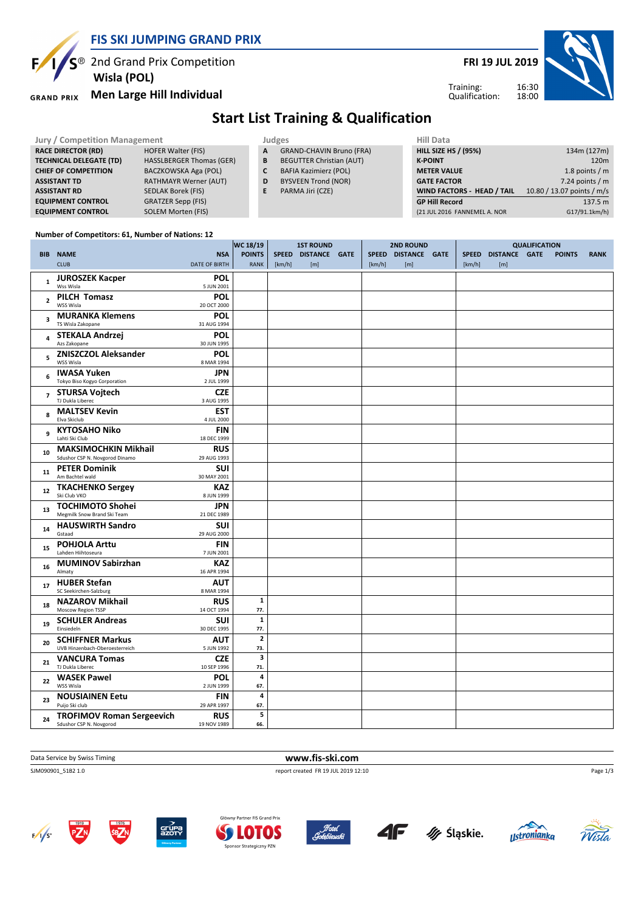

 $\mathcal{S}^{\circledR}$  2nd Grand Prix Competition  **Wisla (POL)**

### **Men Large Hill Individual**

E

**FRI 19 JUL 2019**



Training: Qualification:

# **Start List Training & Qualification**

| <b>Jury / Competition Management</b> |                                 |    | Judges                          | Hill Data                    |                            |
|--------------------------------------|---------------------------------|----|---------------------------------|------------------------------|----------------------------|
| <b>RACE DIRECTOR (RD)</b>            | <b>HOFER Walter (FIS)</b>       | A  | <b>GRAND-CHAVIN Bruno (FRA)</b> | <b>HILL SIZE HS / (95%)</b>  | 134m (127m)                |
| <b>TECHNICAL DELEGATE (TD)</b>       | <b>HASSLBERGER Thomas (GER)</b> | B  | <b>BEGUTTER Christian (AUT)</b> | <b>K-POINT</b>               | 120m                       |
| <b>CHIEF OF COMPETITION</b>          | BACZKOWSKA Aga (POL)            |    | <b>BAFIA Kazimierz (POL)</b>    | <b>METER VALUE</b>           | 1.8 points / $m$           |
| <b>ASSISTANT TD</b>                  | <b>RATHMAYR Werner (AUT)</b>    | D  | <b>BYSVEEN Trond (NOR)</b>      | <b>GATE FACTOR</b>           | 7.24 points $/m$           |
| <b>ASSISTANT RD</b>                  | SEDLAK Borek (FIS)              | E. | PARMA Jiri (CZE)                | WIND FACTORS - HEAD / TAIL   | 10.80 / 13.07 points / m/s |
| <b>EQUIPMENT CONTROL</b>             | <b>GRATZER Sepp (FIS)</b>       |    |                                 | <b>GP Hill Record</b>        | 137.5 m                    |
| <b>EQUIPMENT CONTROL</b>             | SOLEM Morten (FIS)              |    |                                 | (21 JUL 2016 FANNEMEL A. NOR | G17/91.1km/h)              |

#### **Number of Competitors: 61, Number of Nations: 12**

|                         |                                                               |                                    | WC 18/19<br><b>1ST ROUND</b>   |        | <b>2ND ROUND</b>           |  |        | <b>QUALIFICATION</b>       |  |        |                            |  |               |             |
|-------------------------|---------------------------------------------------------------|------------------------------------|--------------------------------|--------|----------------------------|--|--------|----------------------------|--|--------|----------------------------|--|---------------|-------------|
|                         | <b>BIB NAME</b><br><b>CLUB</b>                                | <b>NSA</b><br><b>DATE OF BIRTH</b> | <b>POINTS</b><br><b>RANK</b>   | [km/h] | SPEED DISTANCE GATE<br>[m] |  | [km/h] | SPEED DISTANCE GATE<br>[m] |  | [km/h] | SPEED DISTANCE GATE<br>[m] |  | <b>POINTS</b> | <b>RANK</b> |
| $\mathbf 1$             | <b>JUROSZEK Kacper</b><br>Wss Wisla                           | POL<br>5 JUN 2001                  |                                |        |                            |  |        |                            |  |        |                            |  |               |             |
| $\overline{2}$          | <b>PILCH Tomasz</b><br>WSS Wisla                              | POL<br>20 OCT 2000                 |                                |        |                            |  |        |                            |  |        |                            |  |               |             |
| $\overline{\mathbf{3}}$ | <b>MURANKA Klemens</b><br>TS Wisla Zakopane                   | POL<br>31 AUG 1994                 |                                |        |                            |  |        |                            |  |        |                            |  |               |             |
| 4                       | <b>STEKALA Andrzei</b><br>Azs Zakopane                        | POL<br>30 JUN 1995                 |                                |        |                            |  |        |                            |  |        |                            |  |               |             |
| 5                       | <b>ZNISZCZOL Aleksander</b><br>WSS Wisla                      | POL<br>8 MAR 1994                  |                                |        |                            |  |        |                            |  |        |                            |  |               |             |
| 6                       | <b>IWASA Yuken</b><br>Tokyo Biso Kogyo Corporation            | <b>JPN</b><br>2 JUL 1999           |                                |        |                            |  |        |                            |  |        |                            |  |               |             |
| $\overline{7}$          | <b>STURSA Vojtech</b><br>TJ Dukla Liberec                     | <b>CZE</b><br>3 AUG 1995           |                                |        |                            |  |        |                            |  |        |                            |  |               |             |
| 8                       | <b>MALTSEV Kevin</b><br>Elva Skiclub                          | <b>EST</b><br>4 JUL 2000           |                                |        |                            |  |        |                            |  |        |                            |  |               |             |
| 9                       | <b>KYTOSAHO Niko</b><br>Lahti Ski Club                        | <b>FIN</b><br>18 DEC 1999          |                                |        |                            |  |        |                            |  |        |                            |  |               |             |
| 10                      | <b>MAKSIMOCHKIN Mikhail</b><br>Sdushor CSP N. Novgorod Dinamo | <b>RUS</b><br>29 AUG 1993          |                                |        |                            |  |        |                            |  |        |                            |  |               |             |
| 11                      | <b>PETER Dominik</b><br>Am Bachtel wald                       | <b>SUI</b><br>30 MAY 2001          |                                |        |                            |  |        |                            |  |        |                            |  |               |             |
| 12                      | <b>TKACHENKO Sergey</b><br>Ski Club VKO                       | <b>KAZ</b><br>8 JUN 1999           |                                |        |                            |  |        |                            |  |        |                            |  |               |             |
| 13                      | <b>TOCHIMOTO Shohei</b><br>Megmilk Snow Brand Ski Team        | <b>JPN</b><br>21 DEC 1989          |                                |        |                            |  |        |                            |  |        |                            |  |               |             |
| 14                      | <b>HAUSWIRTH Sandro</b><br>Gstaad                             | <b>SUI</b><br>29 AUG 2000          |                                |        |                            |  |        |                            |  |        |                            |  |               |             |
| 15                      | <b>POHJOLA Arttu</b><br>Lahden Hiihtoseura                    | <b>FIN</b><br>7 JUN 2001           |                                |        |                            |  |        |                            |  |        |                            |  |               |             |
| 16                      | <b>MUMINOV Sabirzhan</b><br>Almaty                            | <b>KAZ</b><br>16 APR 1994          |                                |        |                            |  |        |                            |  |        |                            |  |               |             |
| 17                      | <b>HUBER Stefan</b><br>SC Seekirchen-Salzburg                 | <b>AUT</b><br>8 MAR 1994           |                                |        |                            |  |        |                            |  |        |                            |  |               |             |
| 18                      | <b>NAZAROV Mikhail</b><br>Moscow Region TSSP                  | <b>RUS</b><br>14 OCT 1994          | 1<br>77.                       |        |                            |  |        |                            |  |        |                            |  |               |             |
| 19                      | <b>SCHULER Andreas</b><br>Einsiedeln                          | <b>SUI</b><br>30 DEC 1995          | $\mathbf 1$<br>77.             |        |                            |  |        |                            |  |        |                            |  |               |             |
| 20                      | <b>SCHIFFNER Markus</b><br>UVB Hinzenbach-Oberoesterreich     | AUT<br>5 JUN 1992                  | $\overline{\mathbf{2}}$<br>73. |        |                            |  |        |                            |  |        |                            |  |               |             |
| 21                      | <b>VANCURA Tomas</b><br>TJ Dukla Liberec                      | <b>CZE</b><br>10 SEP 1996          | 3<br>71.                       |        |                            |  |        |                            |  |        |                            |  |               |             |
| 22                      | <b>WASEK Pawel</b><br>WSS Wisla                               | <b>POL</b><br>2 JUN 1999           | 4<br>67.                       |        |                            |  |        |                            |  |        |                            |  |               |             |
| 23                      | <b>NOUSIAINEN Eetu</b><br>Puijo Ski club                      | <b>FIN</b><br>29 APR 1997          | 4<br>67.                       |        |                            |  |        |                            |  |        |                            |  |               |             |
| 24                      | <b>TROFIMOV Roman Sergeevich</b><br>Sdushor CSP N. Novgorod   | <b>RUS</b><br>19 NOV 1989          | 5<br>66.                       |        |                            |  |        |                            |  |        |                            |  |               |             |

### **Data Service by Swiss Timing WWW.fis-ski.com**

SJM090901\_51B2 1.0 report created FR 19 JUL 2019 12:10

 $F/I/S^2$ 













Page 1/3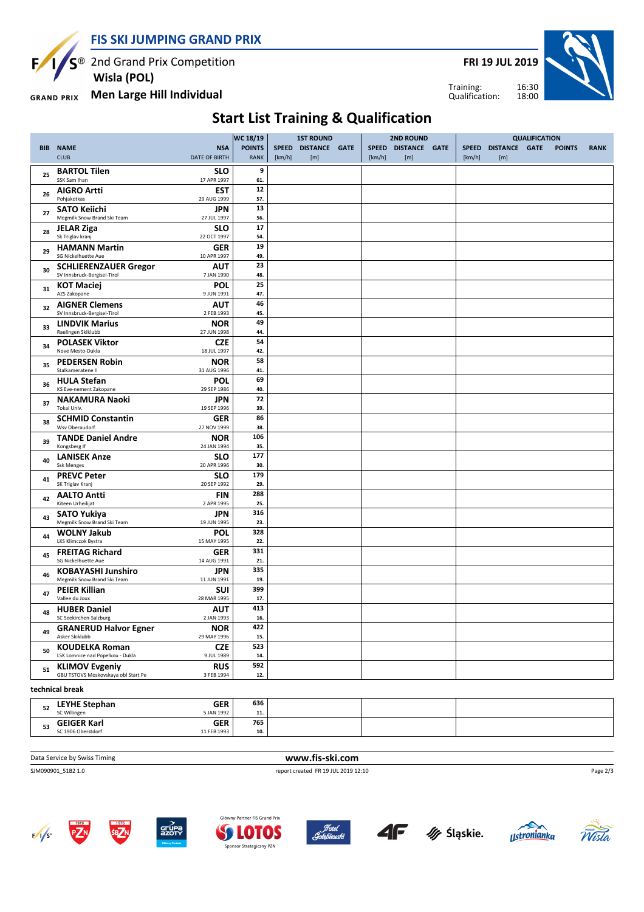

**FRI 19 JUL 2019**

Training: Qualification:



**Men Large Hill Individual GRAND PRIX** 

 **Wisla (POL)**

**Start List Training & Qualification**

|            | WC 18/19                                                     |                                    |                              | <b>1ST ROUND</b> |                            |  |        | 2ND ROUND                  | <b>QUALIFICATION</b>   |                             |  |               |             |
|------------|--------------------------------------------------------------|------------------------------------|------------------------------|------------------|----------------------------|--|--------|----------------------------|------------------------|-----------------------------|--|---------------|-------------|
| <b>BIB</b> | <b>NAME</b><br><b>CLUB</b>                                   | <b>NSA</b><br><b>DATE OF BIRTH</b> | <b>POINTS</b><br><b>RANK</b> | [km/h]           | SPEED DISTANCE GATE<br>[m] |  | [km/h] | SPEED DISTANCE GATE<br>[m] | <b>SPEED</b><br>[km/h] | <b>DISTANCE GATE</b><br>[m] |  | <b>POINTS</b> | <b>RANK</b> |
| 25         | <b>BARTOL Tilen</b><br>SSK Sam Ihan                          | <b>SLO</b><br>17 APR 1997          | 9<br>61.                     |                  |                            |  |        |                            |                        |                             |  |               |             |
| 26         | <b>AIGRO Artti</b><br>Pohjakotkas                            | <b>EST</b><br>29 AUG 1999          | 12<br>57.                    |                  |                            |  |        |                            |                        |                             |  |               |             |
| 27         | <b>SATO Keiichi</b><br>Megmilk Snow Brand Ski Team           | <b>JPN</b><br>27 JUL 1997          | 13<br>56.                    |                  |                            |  |        |                            |                        |                             |  |               |             |
| 28         | <b>JELAR Ziga</b><br>Sk Triglav kranj                        | <b>SLO</b><br>22 OCT 1997          | 17<br>54.                    |                  |                            |  |        |                            |                        |                             |  |               |             |
| 29         | <b>HAMANN Martin</b><br>SG Nickelhuette Aue                  | <b>GER</b><br>10 APR 1997          | 19<br>49.                    |                  |                            |  |        |                            |                        |                             |  |               |             |
| 30         | <b>SCHLIERENZAUER Gregor</b><br>SV Innsbruck-Bergisel-Tirol  | <b>AUT</b><br>7 JAN 1990           | 23<br>48.                    |                  |                            |  |        |                            |                        |                             |  |               |             |
| 31         | <b>KOT Maciej</b><br>AZS Zakopane                            | POL<br>9 JUN 1991                  | 25<br>47.                    |                  |                            |  |        |                            |                        |                             |  |               |             |
| 32         | <b>AIGNER Clemens</b><br>SV Innsbruck-Bergisel-Tirol         | <b>AUT</b><br>2 FEB 1993           | 46<br>45.                    |                  |                            |  |        |                            |                        |                             |  |               |             |
| 33         | <b>LINDVIK Marius</b><br>Raelingen Skiklubb                  | <b>NOR</b><br>27 JUN 1998          | 49<br>44.                    |                  |                            |  |        |                            |                        |                             |  |               |             |
| 34         | <b>POLASEK Viktor</b><br>Nove Mesto-Dukla                    | <b>CZE</b><br>18 JUL 1997          | 54<br>42.                    |                  |                            |  |        |                            |                        |                             |  |               |             |
| 35         | <b>PEDERSEN Robin</b><br>Stalkameratene II                   | <b>NOR</b><br>31 AUG 1996          | 58<br>41.                    |                  |                            |  |        |                            |                        |                             |  |               |             |
| 36         | <b>HULA Stefan</b><br>KS Eve-nement Zakopane                 | <b>POL</b><br>29 SEP 1986          | 69<br>40.                    |                  |                            |  |        |                            |                        |                             |  |               |             |
| 37         | <b>NAKAMURA Naoki</b><br>Tokai Univ.                         | <b>JPN</b><br>19 SEP 1996          | 72<br>39.                    |                  |                            |  |        |                            |                        |                             |  |               |             |
| 38         | <b>SCHMID Constantin</b><br>Wsv Oberaudorf                   | <b>GER</b><br>27 NOV 1999          | 86<br>38.                    |                  |                            |  |        |                            |                        |                             |  |               |             |
| 39         | <b>TANDE Daniel Andre</b><br>Kongsberg If                    | <b>NOR</b><br>24 JAN 1994          | 106<br>35.                   |                  |                            |  |        |                            |                        |                             |  |               |             |
| 40         | <b>LANISEK Anze</b><br><b>Ssk Menges</b>                     | <b>SLO</b><br>20 APR 1996          | 177<br>30.                   |                  |                            |  |        |                            |                        |                             |  |               |             |
| 41         | <b>PREVC Peter</b><br>SK Triglav Kranj                       | <b>SLO</b><br>20 SEP 1992          | 179<br>29.                   |                  |                            |  |        |                            |                        |                             |  |               |             |
| 42         | <b>AALTO Antti</b><br>Kiteen Urheilijat                      | <b>FIN</b><br>2 APR 1995           | 288<br>25.                   |                  |                            |  |        |                            |                        |                             |  |               |             |
| 43         | <b>SATO Yukiya</b><br>Megmilk Snow Brand Ski Team            | <b>JPN</b><br>19 JUN 1995          | 316<br>23.                   |                  |                            |  |        |                            |                        |                             |  |               |             |
| 44         | <b>WOLNY Jakub</b><br><b>LKS Klimczok Bystra</b>             | <b>POL</b><br>15 MAY 1995          | 328<br>22.                   |                  |                            |  |        |                            |                        |                             |  |               |             |
| 45         | <b>FREITAG Richard</b><br>SG Nickelhuette Aue                | <b>GER</b><br>14 AUG 1991          | 331<br>21.                   |                  |                            |  |        |                            |                        |                             |  |               |             |
| 46         | <b>KOBAYASHI Junshiro</b><br>Megmilk Snow Brand Ski Team     | <b>JPN</b><br>11 JUN 1991          | 335<br>19.                   |                  |                            |  |        |                            |                        |                             |  |               |             |
| 47         | <b>PEIER Killian</b><br>Vallee du Joux                       | <b>SUI</b><br>28 MAR 1995          | 399<br>17.                   |                  |                            |  |        |                            |                        |                             |  |               |             |
| 48         | <b>HUBER Daniel</b><br>SC Seekirchen-Salzburg                | <b>AUT</b><br>2 JAN 1993           | 413<br>16.                   |                  |                            |  |        |                            |                        |                             |  |               |             |
| 49         | <b>GRANERUD Halvor Egner</b><br>Asker Skiklubb               | <b>NOR</b><br>29 MAY 1996          | 422<br>15.                   |                  |                            |  |        |                            |                        |                             |  |               |             |
| 50         | <b>KOUDELKA Roman</b><br>LSK Lomnice nad Popelkou - Dukla    | <b>CZE</b><br>9 JUL 1989           | 523<br>14.                   |                  |                            |  |        |                            |                        |                             |  |               |             |
| 51         | <b>KLIMOV Evgeniy</b><br>GBU TSTOVS Moskovskaya obl Start Pe | <b>RUS</b><br>3 FEB 1994           | 592<br>12.                   |                  |                            |  |        |                            |                        |                             |  |               |             |
|            |                                                              |                                    |                              |                  |                            |  |        |                            |                        |                             |  |               |             |

**technical break**

| 34       | <b>GER</b><br><b>LEYHE Stephan</b><br>5 JAN 1992<br>SC Willingen | 636<br>$\overline{a}$<br> |  |  |
|----------|------------------------------------------------------------------|---------------------------|--|--|
| E9<br>ວວ | <b>GER</b><br><b>GEIGER Karl</b>                                 | 765                       |  |  |
|          | 11 FEB 1993<br>SC 1906 Oberstdorf                                | 10.                       |  |  |

**Data Service by Swiss Timing WWW.fis-ski.com** 

SJM090901\_51B2 1.0 report created FR 19 JUL 2019 12:10















Page 2/3